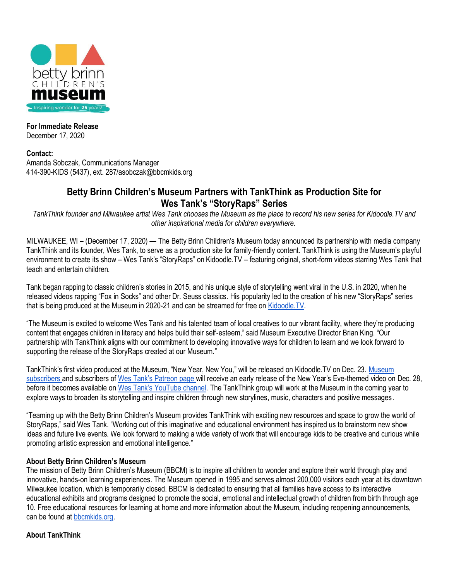

# **For Immediate Release**

December 17, 2020

## **Contact:**

Amanda Sobczak, Communications Manager 414-390-KIDS (5437), ext. 287/asobczak@bbcmkids.org

# **Betty Brinn Children's Museum Partners with TankThink as Production Site for Wes Tank's "StoryRaps" Series**

*TankThink founder and Milwaukee artist Wes Tank chooses the Museum as the place to record his new series for Kidoodle.TV and other inspirational media for children everywhere.*

MILWAUKEE, WI – (December 17, 2020) — The Betty Brinn Children's Museum today announced its partnership with media company TankThink and its founder, Wes Tank, to serve as a production site for family-friendly content. TankThink is using the Museum's playful environment to create its show – Wes Tank's "StoryRaps" on Kidoodle.TV – featuring original, short-form videos starring Wes Tank that teach and entertain children.

Tank began rapping to classic children's stories in 2015, and his unique style of storytelling went viral in the U.S. in 2020, when he released videos rapping "Fox in Socks" and other Dr. Seuss classics. His popularity led to the creation of his new "StoryRaps" series that is being produced at the Museum in 2020-21 and can be streamed for free o[n Kidoodle.TV.](https://www.kidoodle.tv/)

"The Museum is excited to welcome Wes Tank and his talented team of local creatives to our vibrant facility, where they're producing content that engages children in literacy and helps build their self-esteem," said Museum Executive Director Brian King. "Our partnership with TankThink aligns with our commitment to developing innovative ways for children to learn and we look forward to supporting the release of the StoryRaps created at our Museum."

TankThink's first video produced at the Museum, "New Year, New You," will be released on Kidoodle.TV on Dec. 23. [Museum](https://www.bbcmkids.org/newsletter-signup/)  [subscribers a](https://www.bbcmkids.org/newsletter-signup/)nd subscribers of Wes Tan[k's Patreon page w](https://www.patreon.com/westank)ill receive an early release of the New Year's Eve-themed video on Dec. 28, before it becomes available on [Wes Tank's YouTube channel](https://www.youtube.com/c/WesTankStoryraps/featured). The TankThink group will work at the Museum in the coming year to explore ways to broaden its storytelling and inspire children through new storylines, music, characters and positive messages.

"Teaming up with the Betty Brinn Children's Museum provides TankThink with exciting new resources and space to grow the world of StoryRaps," said Wes Tank. "Working out of this imaginative and educational environment has inspired us to brainstorm new show ideas and future live events. We look forward to making a wide variety of work that will encourage kids to be creative and curious while promoting artistic expression and emotional intelligence."

# **About Betty Brinn Children's Museum**

The mission of Betty Brinn Children's Museum (BBCM) is to inspire all children to wonder and explore their world through play and innovative, hands-on learning experiences. The Museum opened in 1995 and serves almost 200,000 visitors each year at its downtown Milwaukee location, which is temporarily closed. BBCM is dedicated to ensuring that all families have access to its interactive educational exhibits and programs designed to promote the social, emotional and intellectual growth of children from birth through age 10. Free educational resources for learning at home and more information about the Museum, including reopening announcements, can be found a[t bbcmkids.org.](https://www.bbcmkids.org/)

## **About TankThink**